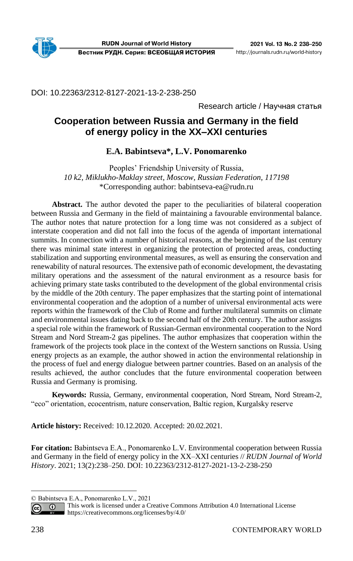DOI: 10.22363/2312-8127-2021-13-2-238-250

Research article / Научная статья

# **Cooperation between Russia and Germany in the field of energy policy in the XX–XXI centuries<sup>1</sup>**

## **E.A. Babintseva\*, L.V. Ponomarenko**

Peoples' Friendship University of Russia, *10 k2, Miklukho-Maklay street, Moscow, Russian Federation, 117198* \*Corresponding author: babintseva-ea@rudn.ru

**Abstract.** The author devoted the paper to the peculiarities of bilateral cooperation between Russia and Germany in the field of maintaining a favourable environmental balance. The author notes that nature protection for a long time was not considered as a subject of interstate cooperation and did not fall into the focus of the agenda of important international summits. In connection with a number of historical reasons, at the beginning of the last century there was minimal state interest in organizing the protection of protected areas, conducting stabilization and supporting environmental measures, as well as ensuring the conservation and renewability of natural resources. The extensive path of economic development, the devastating military operations and the assessment of the natural environment as a resource basis for achieving primary state tasks contributed to the development of the global environmental crisis by the middle of the 20th century. The paper emphasizes that the starting point of international environmental cooperation and the adoption of a number of universal environmental acts were reports within the framework of the Club of Rome and further multilateral summits on climate and environmental issues dating back to the second half of the 20th century. The author assigns a special role within the framework of Russian-German environmental cooperation to the Nord Stream and Nord Stream-2 gas pipelines. The author emphasizes that cooperation within the framework of the projects took place in the context of the Western sanctions on Russia. Using energy projects as an example, the author showed in action the environmental relationship in the process of fuel and energy dialogue between partner countries. Based on an analysis of the results achieved, the author concludes that the future environmental cooperation between Russia and Germany is promising.

**Keywords:** Russia, Germany, environmental cooperation, Nord Stream, Nord Stream-2, "eco" orientation, ecocentrism, nature conservation, Baltic region, Kurgalsky reserve

**Article history:** Received: 10.12.2020. Accepted: 20.02.2021.

**For citation:** Babintseva Е.А., Ponomarenko L.V. Environmental cooperation between Russia and Germany in the field of energy policy in the XX–XXI centuries // *RUDN Journal of World History*. 2021; 13(2):238–250. DOI: 10.22363/2312-8127-2021-13-2-238-250

<sup>©</sup> Babintseva Е.А., Ponomarenko L.V., 2021

This work is licensed under a Creative Commons Attribution 4.0 International License  $\odot$ <https://creativecommons.org/licenses/by/4.0/>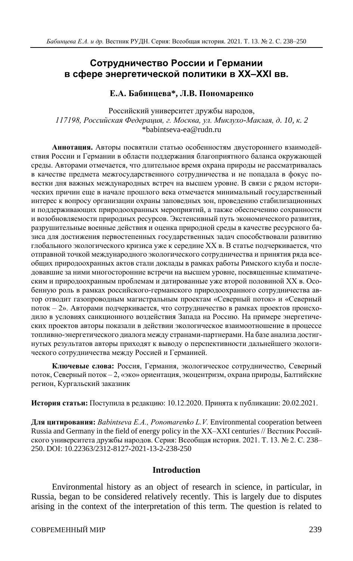## **Cотрудничество России и Германии в сфере энергетической политики в XX–XXI вв.**

### **Е.А. Бабинцева\*, Л.В. Пономаренко**

Российский университет дружбы народов, *117198, Российская Федерация, г. Москва, ул. Миклухо-Маклая, д. 10, к. 2* \*babintseva-ea@rudn.ru

**Аннотация.** Авторы посвятили статью особенностям двустороннего взаимодействия России и Германии в области поддержания благоприятного баланса окружающей среды. Авторами отмечается, что длительное время охрана природы не рассматривалась в качестве предмета межгосударственного сотрудничества и не попадала в фокус повестки дня важных международных встреч на высшем уровне. В связи с рядом исторических причин еще в начале прошлого века отмечается минимальный государственный интерес к вопросу организации охраны заповедных зон, проведению стабилизационных и поддерживающих природоохранных мероприятий, а также обеспечению сохранности и возобновляемости природных ресурсов. Экстенсивный путь экономического развития, разрушительные военные действия и оценка природной среды в качестве ресурсного базиса для достижения первостепенных государственных задач способствовали развитию глобального экологического кризиса уже к середине XX в. В статье подчеркивается, что отправной точкой международного экологического сотрудничества и принятия ряда всеобщих природоохранных актов стали доклады в рамках работы Римского клуба и последовавшие за ними многосторонние встречи на высшем уровне, посвященные климатическим и природоохранным проблемам и датированные уже второй половиной XX в. Особенную роль в рамках российского-германского природоохранного сотрудничества автор отводит газопроводным магистральным проектам «Северный поток» и «Северный поток – 2». Авторами подчеркивается, что сотрудничество в рамках проектов происходило в условиях санкционного воздействия Запада на Россию. На примере энергетических проектов авторы показали в действии экологическое взаимоотношение в процессе топливно-энергетического диалога между странами-партнерами. На базе анализа достигнутых результатов авторы приходят к выводу о перспективности дальнейшего экологического сотрудничества между Россией и Германией.

**Ключевые слова:** Россия, Германия, экологическое сотрудничество, Северный поток, Северный поток – 2, «эко» ориентация, экоцентризм, охрана природы, Балтийские регион, Кургальский заказник

**История статьи:** Поступила в редакцию: 10.12.2020. Принята к публикации: 20.02.2021.

**Для цитирования:** *Babintseva Е.А., Ponomarenko L.V.* Environmental cooperation between Russia and Germany in the field of energy policy in the XX–XXI centuries // Вестник Российского университета дружбы народов. Серия: Всеобщая история. 2021. Т. 13. № 2. С. 238– 250. DOI: 10.22363/2312-8127-2021-13-2-238-250

#### **Introduction**

Environmental history as an object of research in science, in particular, in Russia, began to be considered relatively recently. This is largely due to disputes arising in the context of the interpretation of this term. The question is related to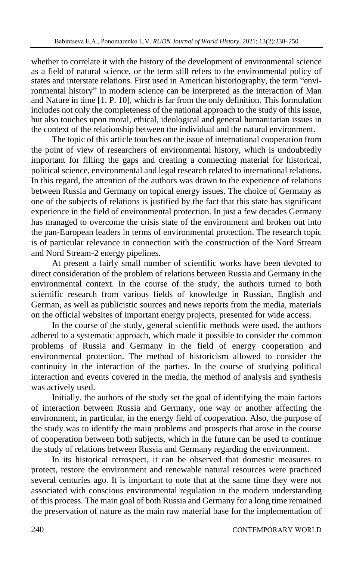whether to correlate it with the history of the development of environmental science as a field of natural science, or the term still refers to the environmental policy of states and interstate relations. First used in American historiography, the term "environmental history" in modern science can be interpreted as the interaction of Man and Nature in time [1. P. 10], which is far from the only definition. This formulation includes not only the completeness of the national approach to the study of this issue, but also touches upon moral, ethical, ideological and general humanitarian issues in the context of the relationship between the individual and the natural environment.

The topic of this article touches on the issue of international cooperation from the point of view of researchers of environmental history, which is undoubtedly important for filling the gaps and creating a connecting material for historical, political science, environmental and legal research related to international relations. In this regard, the attention of the authors was drawn to the experience of relations between Russia and Germany on topical energy issues. The choice of Germany as one of the subjects of relations is justified by the fact that this state has significant experience in the field of environmental protection. In just a few decades Germany has managed to overcome the crisis state of the environment and broken out into the pan-European leaders in terms of environmental protection. The research topic is of particular relevance in connection with the construction of the Nord Stream and Nord Stream-2 energy pipelines.

At present a fairly small number of scientific works have been devoted to direct consideration of the problem of relations between Russia and Germany in the environmental context. In the course of the study, the authors turned to both scientific research from various fields of knowledge in Russian, English and German, as well as publicistic sources and news reports from the media, materials on the official websites of important energy projects, presented for wide access.

In the course of the study, general scientific methods were used, the authors adhered to a systematic approach, which made it possible to consider the common problems of Russia and Germany in the field of energy cooperation and environmental protection. The method of historicism allowed to consider the continuity in the interaction of the parties. In the course of studying political interaction and events covered in the media, the method of analysis and synthesis was actively used.

Initially, the authors of the study set the goal of identifying the main factors of interaction between Russia and Germany, one way or another affecting the environment, in particular, in the energy field of cooperation. Also, the purpose of the study was to identify the main problems and prospects that arose in the course of cooperation between both subjects, which in the future can be used to continue the study of relations between Russia and Germany regarding the environment.

In its historical retrospect, it can be observed that domestic measures to protect, restore the environment and renewable natural resources were practiced several centuries ago. It is important to note that at the same time they were not associated with conscious environmental regulation in the modern understanding of this process. The main goal of both Russia and Germany for a long time remained the preservation of nature as the main raw material base for the implementation of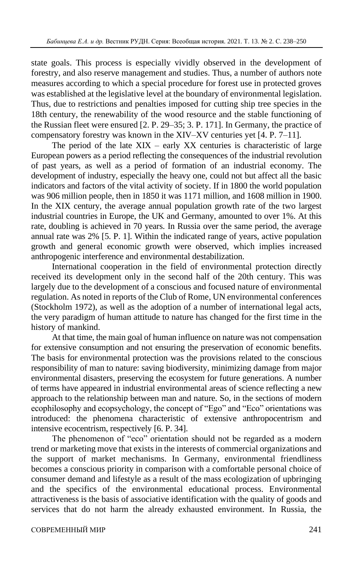state goals. This process is especially vividly observed in the development of forestry, and also reserve management and studies. Thus, a number of authors note measures according to which a special procedure for forest use in protected groves was established at the legislative level at the boundary of environmental legislation. Thus, due to restrictions and penalties imposed for cutting ship tree species in the 18th century, the renewability of the wood resource and the stable functioning of the Russian fleet were ensured [2. P. 29–35; 3. P. 171]. In Germany, the practice of compensatory forestry was known in the XIV–XV centuries yet [4. P. 7–11].

The period of the late  $XIX - early XX$  centuries is characteristic of large European powers as a period reflecting the consequences of the industrial revolution of past years, as well as a period of formation of an industrial economy. The development of industry, especially the heavy one, could not but affect all the basic indicators and factors of the vital activity of society. If in 1800 the world population was 906 million people, then in 1850 it was 1171 million, and 1608 million in 1900. In the XIX century, the average annual population growth rate of the two largest industrial countries in Europe, the UK and Germany, amounted to over 1%. At this rate, doubling is achieved in 70 years. In Russia over the same period, the average annual rate was 2% [5. P. 1]. Within the indicated range of years, active population growth and general economic growth were observed, which implies increased anthropogenic interference and environmental destabilization.

International cooperation in the field of environmental protection directly received its development only in the second half of the 20th century. This was largely due to the development of a conscious and focused nature of environmental regulation. As noted in reports of the Club of Rome, UN environmental conferences (Stockholm 1972), as well as the adoption of a number of international legal acts, the very paradigm of human attitude to nature has changed for the first time in the history of mankind.

At that time, the main goal of human influence on nature was not compensation for extensive consumption and not ensuring the preservation of economic benefits. The basis for environmental protection was the provisions related to the conscious responsibility of man to nature: saving biodiversity, minimizing damage from major environmental disasters, preserving the ecosystem for future generations. A number of terms have appeared in industrial environmental areas of science reflecting a new approach to the relationship between man and nature. So, in the sections of modern ecophilosophy and ecopsychology, the concept of "Ego" and "Eco" orientations was introduced: the phenomena characteristic of extensive anthropocentrism and intensive ecocentrism, respectively [6. P. 34].

The phenomenon of "eco" orientation should not be regarded as a modern trend or marketing move that exists in the interests of commercial organizations and the support of market mechanisms. In Germany, environmental friendliness becomes a conscious priority in comparison with a comfortable personal choice of consumer demand and lifestyle as a result of the mass ecologization of upbringing and the specifics of the environmental educational process. Environmental attractiveness is the basis of associative identification with the quality of goods and services that do not harm the already exhausted environment. In Russia, the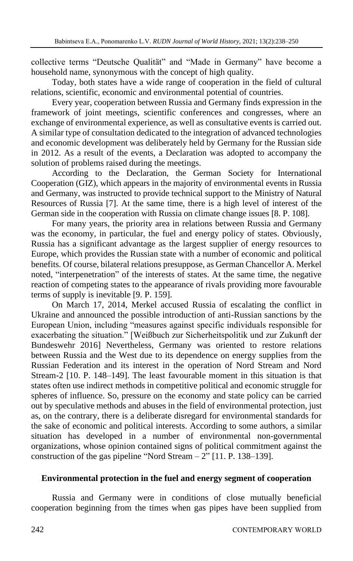collective terms "Deutsche Qualität" and "Made in Germany" have become a household name, synonymous with the concept of high quality.

Today, both states have a wide range of cooperation in the field of cultural relations, scientific, economic and environmental potential of countries.

Every year, cooperation between Russia and Germany finds expression in the framework of joint meetings, scientific conferences and congresses, where an exchange of environmental experience, as well as consultative events is carried out. A similar type of consultation dedicated to the integration of advanced technologies and economic development was deliberately held by Germany for the Russian side in 2012. As a result of the events, a Declaration was adopted to accompany the solution of problems raised during the meetings.

According to the Declaration, the German Society for International Cooperation (GIZ), which appears in the majority of environmental events in Russia and Germany, was instructed to provide technical support to the Ministry of Natural Resources of Russia [7]. At the same time, there is a high level of interest of the German side in the cooperation with Russia on climate change issues [8. P. 108].

For many years, the priority area in relations between Russia and Germany was the economy, in particular, the fuel and energy policy of states. Obviously, Russia has a significant advantage as the largest supplier of energy resources to Europe, which provides the Russian state with a number of economic and political benefits. Of course, bilateral relations presuppose, as German Chancellor A. Merkel noted, "interpenetration" of the interests of states. At the same time, the negative reaction of competing states to the appearance of rivals providing more favourable terms of supply is inevitable [9. P. 159].

On March 17, 2014, Merkel accused Russia of escalating the conflict in Ukraine and announced the possible introduction of anti-Russian sanctions by the European Union, including "measures against specific individuals responsible for exacerbating the situation." [Weißbuch zur Sicherheitspolitik und zur Zukunft der Bundeswehr 2016] Nevertheless, Germany was oriented to restore relations between Russia and the West due to its dependence on energy supplies from the Russian Federation and its interest in the operation of Nord Stream and Nord Stream-2 [10. P. 148–149]. The least favourable moment in this situation is that states often use indirect methods in competitive political and economic struggle for spheres of influence. So, pressure on the economy and state policy can be carried out by speculative methods and abuses in the field of environmental protection, just as, on the contrary, there is a deliberate disregard for environmental standards for the sake of economic and political interests. According to some authors, a similar situation has developed in a number of environmental non-governmental organizations, whose opinion contained signs of political commitment against the construction of the gas pipeline "Nord Stream  $- 2$ " [11. P. 138–139].

## **Environmental protection in the fuel and energy segment of cooperation**

Russia and Germany were in conditions of close mutually beneficial cooperation beginning from the times when gas pipes have been supplied from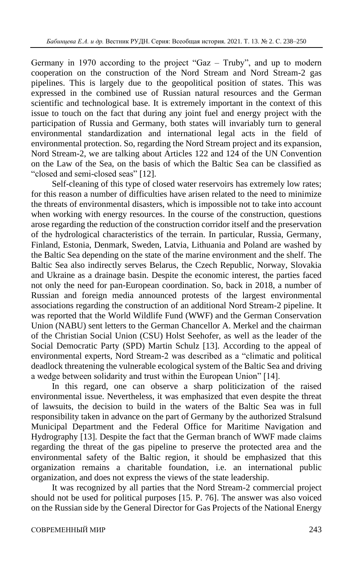Germany in 1970 according to the project "Gaz – Truby", and up to modern cooperation on the construction of the Nord Stream and Nord Stream-2 gas pipelines. This is largely due to the geopolitical position of states. This was expressed in the combined use of Russian natural resources and the German scientific and technological base. It is extremely important in the context of this issue to touch on the fact that during any joint fuel and energy project with the participation of Russia and Germany, both states will invariably turn to general environmental standardization and international legal acts in the field of environmental protection. So, regarding the Nord Stream project and its expansion, Nord Stream-2, we are talking about Articles 122 and 124 of the UN Convention on the Law of the Sea, on the basis of which the Baltic Sea can be classified as "closed and semi-closed seas" [12].

Self-cleaning of this type of closed water reservoirs has extremely low rates; for this reason a number of difficulties have arisen related to the need to minimize the threats of environmental disasters, which is impossible not to take into account when working with energy resources. In the course of the construction, questions arose regarding the reduction of the construction corridor itself and the preservation of the hydrological characteristics of the terrain. In particular, Russia, Germany, Finland, Estonia, Denmark, Sweden, Latvia, Lithuania and Poland are washed by the Baltic Sea depending on the state of the marine environment and the shelf. The Baltic Sea also indirectly serves Belarus, the Czech Republic, Norway, Slovakia and Ukraine as a drainage basin. Despite the economic interest, the parties faced not only the need for pan-European coordination. So, back in 2018, a number of Russian and foreign media announced protests of the largest environmental associations regarding the construction of an additional Nord Stream-2 pipeline. It was reported that the World Wildlife Fund (WWF) and the German Conservation Union (NABU) sent letters to the German Chancellor A. Merkel and the chairman of the Christian Social Union (CSU) Holst Seehofer, as well as the leader of the Social Democratic Party (SPD) Martin Schulz [13]. According to the appeal of environmental experts, Nord Stream-2 was described as a "climatic and political deadlock threatening the vulnerable ecological system of the Baltic Sea and driving a wedge between solidarity and trust within the European Union" [14].

In this regard, one can observe a sharp politicization of the raised environmental issue. Nevertheless, it was emphasized that even despite the threat of lawsuits, the decision to build in the waters of the Baltic Sea was in full responsibility taken in advance on the part of Germany by the authorized Stralsund Municipal Department and the Federal Office for Maritime Navigation and Hydrography [13]. Despite the fact that the German branch of WWF made claims regarding the threat of the gas pipeline to preserve the protected area and the environmental safety of the Baltic region, it should be emphasized that this organization remains a charitable foundation, i.e. an international public organization, and does not express the views of the state leadership.

It was recognized by all parties that the Nord Stream-2 commercial project should not be used for political purposes [15. P. 76]. The answer was also voiced on the Russian side by the General Director for Gas Projects of the National Energy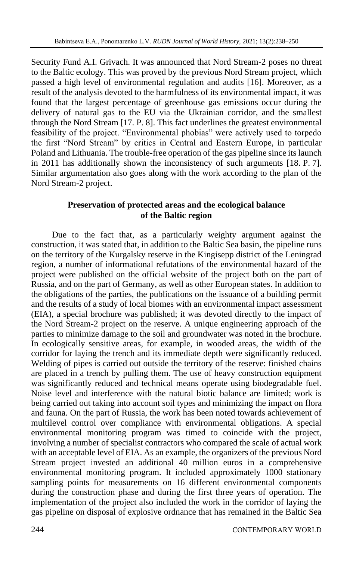Security Fund A.I. Grivach. It was announced that Nord Stream-2 poses no threat to the Baltic ecology. This was proved by the previous Nord Stream project, which passed a high level of environmental regulation and audits [16]. Moreover, as a result of the analysis devoted to the harmfulness of its environmental impact, it was found that the largest percentage of greenhouse gas emissions occur during the delivery of natural gas to the EU via the Ukrainian corridor, and the smallest through the Nord Stream [17. P. 8]. This fact underlines the greatest environmental feasibility of the project. "Environmental phobias" were actively used to torpedo the first "Nord Stream" by critics in Central and Eastern Europe, in particular Poland and Lithuania. The trouble-free operation of the gas pipeline since its launch in 2011 has additionally shown the inconsistency of such arguments [18. P. 7]. Similar argumentation also goes along with the work according to the plan of the Nord Stream-2 project.

## **Preservation of protected areas and the ecological balance of the Baltic region**

Due to the fact that, as a particularly weighty argument against the construction, it was stated that, in addition to the Baltic Sea basin, the pipeline runs on the territory of the Kurgalsky reserve in the Kingisepp district of the Leningrad region, a number of informational refutations of the environmental hazard of the project were published on the official website of the project both on the part of Russia, and on the part of Germany, as well as other European states. In addition to the obligations of the parties, the publications on the issuance of a building permit and the results of a study of local biomes with an environmental impact assessment (EIA), a special brochure was published; it was devoted directly to the impact of the Nord Stream-2 project on the reserve. A unique engineering approach of the parties to minimize damage to the soil and groundwater was noted in the brochure. In ecologically sensitive areas, for example, in wooded areas, the width of the corridor for laying the trench and its immediate depth were significantly reduced. Welding of pipes is carried out outside the territory of the reserve: finished chains are placed in a trench by pulling them. The use of heavy construction equipment was significantly reduced and technical means operate using biodegradable fuel. Noise level and interference with the natural biotic balance are limited; work is being carried out taking into account soil types and minimizing the impact on flora and fauna. On the part of Russia, the work has been noted towards achievement of multilevel control over compliance with environmental obligations. A special environmental monitoring program was timed to coincide with the project, involving a number of specialist contractors who compared the scale of actual work with an acceptable level of EIA. As an example, the organizers of the previous Nord Stream project invested an additional 40 million euros in a comprehensive environmental monitoring program. It included approximately 1000 stationary sampling points for measurements on 16 different environmental components during the construction phase and during the first three years of operation. The implementation of the project also included the work in the corridor of laying the gas pipeline on disposal of explosive ordnance that has remained in the Baltic Sea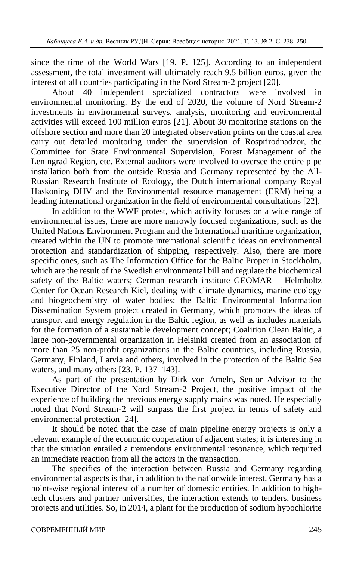since the time of the World Wars [19. P. 125]. According to an independent assessment, the total investment will ultimately reach 9.5 billion euros, given the interest of all countries participating in the Nord Stream-2 project [20].

About 40 independent specialized contractors were involved in environmental monitoring. By the end of 2020, the volume of Nord Stream-2 investments in environmental surveys, analysis, monitoring and environmental activities will exceed 100 million euros [21]. About 30 monitoring stations on the offshore section and more than 20 integrated observation points on the coastal area carry out detailed monitoring under the supervision of Rosprirodnadzor, the Committee for State Environmental Supervision, Forest Management of the Leningrad Region, etc. External auditors were involved to oversee the entire pipe installation both from the outside Russia and Germany represented by the All-Russian Research Institute of Ecology, the Dutch international company Royal Haskoning DHV and the Environmental resource management (ERM) being a leading international organization in the field of environmental consultations [22].

In addition to the WWF protest, which activity focuses on a wide range of environmental issues, there are more narrowly focused organizations, such as the United Nations Environment Program and the International maritime organization, created within the UN to promote international scientific ideas on environmental protection and standardization of shipping, respectively. Also, there are more specific ones, such as The Information Office for the Baltic Proper in Stockholm, which are the result of the Swedish environmental bill and regulate the biochemical safety of the Baltic waters; German research institute GEOMAR – Helmholtz Center for Ocean Research Kiel, dealing with climate dynamics, marine ecology and biogeochemistry of water bodies; the Baltic Environmental Information Dissemination System project created in Germany, which promotes the ideas of transport and energy regulation in the Baltic region, as well as includes materials for the formation of a sustainable development concept; Coalition Clean Baltic, a large non-governmental organization in Helsinki created from an association of more than 25 non-profit organizations in the Baltic countries, including Russia, Germany, Finland, Latvia and others, involved in the protection of the Baltic Sea waters, and many others [23. P. 137–143].

As part of the presentation by Dirk von Ameln, Senior Advisor to the Executive Director of the Nord Stream-2 Project, the positive impact of the experience of building the previous energy supply mains was noted. He especially noted that Nord Stream-2 will surpass the first project in terms of safety and environmental protection [24].

It should be noted that the case of main pipeline energy projects is only a relevant example of the economic cooperation of adjacent states; it is interesting in that the situation entailed a tremendous environmental resonance, which required an immediate reaction from all the actors in the transaction.

The specifics of the interaction between Russia and Germany regarding environmental aspects is that, in addition to the nationwide interest, Germany has a point-wise regional interest of a number of domestic entities. In addition to hightech clusters and partner universities, the interaction extends to tenders, business projects and utilities. So, in 2014, a plant for the production of sodium hypochlorite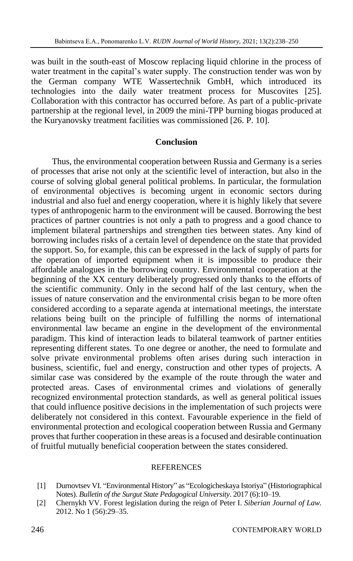was built in the south-east of Moscow replacing liquid chlorine in the process of water treatment in the capital's water supply. The construction tender was won by the German company WTE Wassertechnik GmbH, which introduced its technologies into the daily water treatment process for Muscovites [25]. Collaboration with this contractor has occurred before. As part of a public-private partnership at the regional level, in 2009 the mini-TPP burning biogas produced at the Kuryanovsky treatment facilities was commissioned [26. P. 10].

### **Conclusion**

Thus, the environmental cooperation between Russia and Germany is a series of processes that arise not only at the scientific level of interaction, but also in the course of solving global general political problems. In particular, the formulation of environmental objectives is becoming urgent in economic sectors during industrial and also fuel and energy cooperation, where it is highly likely that severe types of anthropogenic harm to the environment will be caused. Borrowing the best practices of partner countries is not only a path to progress and a good chance to implement bilateral partnerships and strengthen ties between states. Any kind of borrowing includes risks of a certain level of dependence on the state that provided the support. So, for example, this can be expressed in the lack of supply of parts for the operation of imported equipment when it is impossible to produce their affordable analogues in the borrowing country. Environmental cooperation at the beginning of the XX century deliberately progressed only thanks to the efforts of the scientific community. Only in the second half of the last century, when the issues of nature conservation and the environmental crisis began to be more often considered according to a separate agenda at international meetings, the interstate relations being built on the principle of fulfilling the norms of international environmental law became an engine in the development of the environmental paradigm. This kind of interaction leads to bilateral teamwork of partner entities representing different states. To one degree or another, the need to formulate and solve private environmental problems often arises during such interaction in business, scientific, fuel and energy, construction and other types of projects. A similar case was considered by the example of the route through the water and protected areas. Cases of environmental crimes and violations of generally recognized environmental protection standards, as well as general political issues that could influence positive decisions in the implementation of such projects were deliberately not considered in this context. Favourable experience in the field of environmental protection and ecological cooperation between Russia and Germany proves that further cooperation in these areas is a focused and desirable continuation of fruitful mutually beneficial cooperation between the states considered.

#### **REFERENCES**

- [1] Durnovtsev VI. "Environmental History" as "Ecologicheskaya Istoriya" (Historiographical Notes). *Bulletin of the Surgut State Pedagogical University*. 2017 (6):10–19.
- [2] Chernykh VV. Forest legislation during the reign of Peter I. *Siberian Journal of Law.* 2012. No 1 (56):29–35.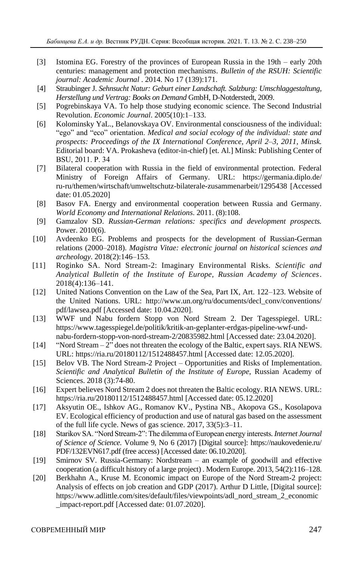- [3] Istomina EG. Forestry of the provinces of European Russia in the 19th early 20th centuries: management and protection mechanisms. *Bulletin of the RSUH: Scientific journal: Academic Journal* . 2014. No 17 (139):171.
- [4] Straubinger J. *Sehnsucht Natur: Geburt einer Landschaft. Salzburg: Umschlaggestaltung, Herstellung und Vertrag: Books on Demand* GmbH, D-Notderstedt, 2009.
- [5] Pogrebinskaya VA. To help those studying economic science. The Second Industrial Revolution. *Economic Journal*. 2005(10):1–133.
- [6] Kolominsky YaL., Belanovskaya OV. Environmental consciousness of the individual: "ego" and "eco" orientation. *Medical and social ecology of the individual: state and prospects: Proceedings of the IX International Conference, April 2–3, 2011, Minsk.* Editorial board: VA. Prokasheva (editor-in-chief) [et. Al.] Minsk: Publishing Center of BSU, 2011. Р. 34
- [7] Bilateral cooperation with Russia in the field of environmental protection. Federal Ministry of Foreign Affairs of Germany. URL: https://germania.diplo.de/ ru-ru/themen/wirtschaft/umweltschutz-bilaterale-zusammenarbeit/1295438 [Accessed date: 01.05.2020]
- [8] Basov FA. Energy and environmental cooperation between Russia and Germany. *World Economy and International Relations*. 2011. (8):108.
- [9] Gamzalov SD. *Russian-German relations: specifics and development prospects.*  Power. 2010(6).
- [10] Avdeenko EG. Problems and prospects for the development of Russian-German relations (2000–2018). *Magistra Vitae: electronic journal on historical sciences and archeology*. 2018(2):146–153.
- [11] Roginko SA. Nord Stream-2: Imaginary Environmental Risks. *Scientific and Analytical Bulletin of the Institute of Europe, Russian Academy of Sciences*. 2018(4):136–141.
- [12] United Nations Convention on the Law of the Sea, Part IX, Art. 122–123. Website of the United Nations. URL: http://www.un.org/ru/documents/decl\_conv/conventions/ pdf/lawsea.pdf [Accessed date: 10.04.2020].
- [13] WWF und Nabu fordern Stopp von Nord Stream 2. Der Tagesspiegel. URL: https://www.tagesspiegel.de/politik/kritik-an-geplanter-erdgas-pipeline-wwf-undnabu-fordern-stopp-von-nord-stream-2/20835982.html [Accessed date: 23.04.2020].
- [14] "Nord Stream 2" does not threaten the ecology of the Baltic, expert says. RIA NEWS. URL: https://ria.ru/20180112/1512488457.html [Accessed date: 12.05.2020].
- [15] Belov VB. The Nord Stream-2 Project Opportunities and Risks of Implementation. *Scientific and Analytical Bulletin of the Institute of Europe*, Russian Academy of Sciences. 2018 (3):74-80.
- [16] Expert believes Nord Stream 2 does not threaten the Baltic ecology. RIA NEWS. URL: https://ria.ru/20180112/1512488457.html [Accessed date: 05.12.2020]
- [17] Aksyutin OE., Ishkov AG., Romanov KV., Pystina NB., Akopova GS., Kosolapova EV. Ecological efficiency of production and use of natural gas based on the assessment of the full life cycle. News of gas science. 2017, 33(5):3–11.
- [18] Starikov SA. "Nord Stream-2": The dilemma of European energy interests*. Internet Journal of Science of Science.* Volume 9, No 6 (2017) [Digital source]: https://naukovedenie.ru/ PDF/132EVN617.pdf (free access) [Accessed date: 06.10.2020].
- [19] Smirnov SV. Russia-Germany: Nordstream an example of goodwill and effective cooperation (a difficult history of a large project) . Modern Europe. 2013, 54(2):116–128.
- [20] Berkhahn A., Kruse M. Economic impact on Europe of the Nord Stream-2 project: Analysis of effects on job creation and GDP (2017). Arthur D Little, [Digital source]: https://www.adlittle.com/sites/default/files/viewpoints/adl\_nord\_stream\_2\_economic \_impact-report.pdf [Accessed date: 01.07.2020].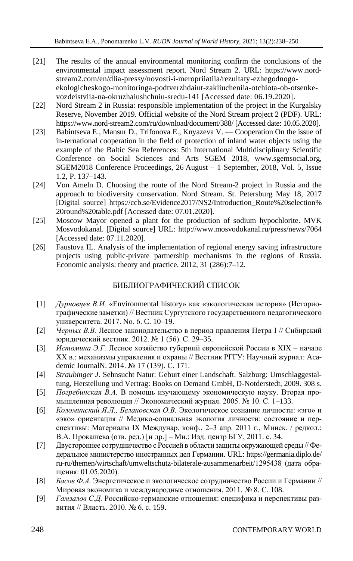- [21] The results of the annual environmental monitoring confirm the conclusions of the environmental impact assessment report. Nord Stream 2. URL: https://www.nordstream2.com/en/dlia-pressy/novosti-i-meropriiatiia/rezultaty-ezhegodnogoekologicheskogo-monitoringa-podtverzhdaiut-zakliucheniia-otchiota-ob-otsenkevozdeistviia-na-okruzhaiushchuiu-sredu-141 [Accessed date: 06.19.2020].
- [22] Nord Stream 2 in Russia: responsible implementation of the project in the Kurgalsky Reserve, November 2019. Official website of the Nord Stream project 2 (PDF). URL: https://www.nord-stream2.com/ru/download/document/388/ [Accessed date: 10.05.2020].
- [23] Babintseva E., Mansur D., Trifonova E., Knyazeva V. Cooperation On the issue of in-ternational cooperation in the field of protection of inland water objects using the example of the Baltic Sea References: 5th International Multidisciplinary Scientific Conference on Social Sciences and Arts SGEM 2018, www.sgemsocial.org, SGEM2018 Conference Proceedings, 26 August – 1 September, 2018, Vol. 5, Issue 1.2, P. 137–143.
- [24] Von Ameln D. Choosing the route of the Nord Stream-2 project in Russia and the approach to biodiversity conservation. Nord Stream. St. Petersburg May 18, 2017 [Digital source] https://ccb.se/Evidence2017/NS2/Introduction\_Route%20selection% 20round%20table.pdf [Accessed date: 07.01.2020].
- [25] Moscow Mayor opened a plant for the production of sodium hypochlorite. MVK Mosvodokanal. [Digital source] URL: http://www.mosvodokanal.ru/press/news/7064 [Accessed date: 07.11.2020].
- [26] Faustova IL. Analysis of the implementation of regional energy saving infrastructure projects using public-private partnership mechanisms in the regions of Russia. Economic analysis: theory and practice. 2012, 31 (286):7–12.

## БИБЛИОГРАФИЧЕСКИЙ СПИСОК

- [1] *Дурновцев В.И.* «Environmental history» как «экологическая история» (Историографические заметки) // Вестник Сургутского государственного педагогического университета. 2017. No. 6. C. 10–19.
- [2] *Черных В.В.* Лесное законодательство в период правления Петра I // Сибирский юридический вестник. 2012. № 1 (56). С. 29–35.
- [3] *Истомина Э.Г.* Лесное хозяйство губерний европейской России в XIX начале XX в.: механизмы управления и охраны // Вестник РГГУ: Научный журнал: Academic JournalN. 2014. № 17 (139). С. 171.
- [4] *Straubinger J.* Sehnsucht Natur: Geburt einer Landschaft. Salzburg: Umschlaggestaltung, Herstellung und Vertrag: Books on Demand GmbH, D-Notderstedt, 2009. 308 s.
- [5] *Погребинская В.А.* В помощь изучающему экономическую науку. Вторая промышленная революция // Экономический журнал. 2005. № 10. С. 1–133.
- [6] *Коломинский Я.Л., Белановская О.В.* Экологическое сознание личности: «эго» и «эко» ориентация // Медико-социальная экология личности: состояние и перспективы: Материалы IX Междунар. конф., 2–3 апр. 2011 г., Минск. / редкол.: В.А. Прокашева (отв. ред.) [и др.] – Мн.: Изд. центр БГУ, 2011. с. 34.
- [7] Двустороннее сотрудничество с Россией в области защиты окружающей среды // Федеральное министерство иностранных дел Германии. URL: https://germania.diplo.de/ ru-ru/themen/wirtschaft/umweltschutz-bilaterale-zusammenarbeit/1295438 (дата обращения: 01.05.2020).
- [8] *Басов Ф.А.* Энергетическое и экологическое сотрудничество России и Германии // Мировая экономика и международные отношения. 2011. № 8. С. 108.
- [9] *Гамзалов С.Д.* Российско-германские отношения: специфика и перспективы развития // Власть. 2010. № 6. с. 159.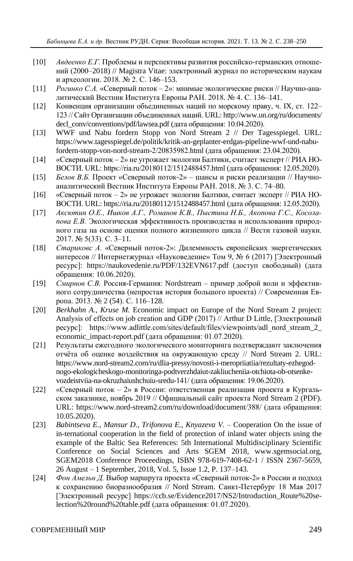- [10] *Авдеенко Е.Г.* Проблемы и перспективы развития российско-германских отношений (2000–2018) // Magistra Vitae: электронный журнал по историческим наукам и археологии. 2018. № 2. С. 146–153.
- [11] *Рогинко С.А.* «Северный поток 2»: мнимые экологические риски // Научно-аналитический Вестник Института Европы РАН. 2018. № 4. С. 136–141.
- [12] Конвенция организации объединенных наций по морскому праву, ч. IX, ст. 122– 123 // Сайт Организации объединенных наций. URL: http://www.un.org/ru/documents/ decl\_conv/conventions/pdf/lawsea.pdf (дата обращения: 10.04.2020).
- [13] WWF und Nabu fordern Stopp von Nord Stream 2 // Der Tagesspiegel. URL: https://www.tagesspiegel.de/politik/kritik-an-geplanter-erdgas-pipeline-wwf-und-nabufordern-stopp-von-nord-stream-2/20835982.html (дата обращения: 23.04.2020).
- [14] «Северный поток 2» не угрожает экологии Балтики, считает эксперт // РИА НО-ВОСТИ. URL: https://ria.ru/20180112/1512488457.html (дата обращения: 12.05.2020).
- [15] *Белов В.Б.* Проект «Северный поток-2» шансы и риски реализации // Научноаналитический Вестник Института Европы РАН. 2018. № 3. С. 74–80.
- [16] «Северный поток 2» не угрожает экологии Балтики, считает эксперт // РИА НО-ВОСТИ. URL: https://ria.ru/20180112/1512488457.html (дата обращения: 12.05.2020).
- [17] *Аксютин О.Е., Ишков А.Г., Романов К.В., Пыстина Н.Б., Акопова Г.С., Косолапова Е.В.* Экологическая эффективность производства и использования природного газа на основе оценки полного жизненного цикла // Вести газовой науки. 2017. № 5(33). С. 3–11.
- [18] *Стариковс А.* «Северный поток-2»: Дилеммность европейских энергетических интересов // Интернетжурнал «Науковедение» Том 9, № 6 (2017) [Электронный ресурс]: https://naukovedenie.ru/PDF/132EVN617.pdf (доступ свободный) (дата обращения: 10.06.2020).
- [19] *Смирнов С.В.* Россия-Германия: Nordstream пример доброй воли и эффективного сотрудничества (непростая история большого проекта) // Современная Европа. 2013. № 2 (54). С. 116–128.
- [20] *Berkhahn A., Kruse M.* Economic impact on Europe of the Nord Stream 2 project: Analysis of effects on job creation and GDP (2017) // Arthur D Little, [Электронный pecypc]: https://www.adlittle.com/sites/default/files/viewpoints/adl\_nord\_stream\_2\_ economic\_impact-report.pdf (дата обращения: 01.07.2020).
- [21] Результаты ежегодного экологического мониторинга подтверждают заключения отчёта об оценке воздействия на окружающую среду // Nord Stream 2. URL: https://www.nord-stream2.com/ru/dlia-pressy/novosti-i-meropriiatiia/rezultaty-ezhegodnogo-ekologicheskogo-monitoringa-podtverzhdaiut-zakliucheniia-otchiota-ob-otsenkevozdeistviia-na-okruzhaiushchuiu-sredu-141/ (дата обращения: 19.06.2020).
- [22] «Северный поток 2» в России: ответственная реализация проекта в Кургальском заказнике, ноябрь 2019 // Официальный сайт проекта Nord Stream 2 (PDF). URL: https://www.nord-stream2.com/ru/download/document/388/ (дата обращения: 10.05.2020).
- [23] *Babintseva E., Mansur D., Trifonova E., Knyazeva V. –* Cooperation On the issue of in-ternational cooperation in the field of protection of inland water objects using the example of the Baltic Sea References: 5th International Multidisciplinary Scientific Conference on Social Sciences and Arts SGEM 2018, www.sgemsocial.org, SGEM2018 Conference Proceedings, ISBN 978-619-7408-62-1 / ISSN 2367-5659, 26 August – 1 September, 2018, Vol. 5, Issue 1.2, P. 137–143.
- [24] *Фон Амельн Д.* Выбор маршрута проекта «Северный поток-2» в России и подход к сохранению биоразнообразия // Nord Stream. Санкт-Петербург 18 Мая 2017 [Электронный ресурс] https://ccb.se/Evidence2017/NS2/Introduction\_Route%20selection%20round%20table.pdf (дата обращения: 01.07.2020).